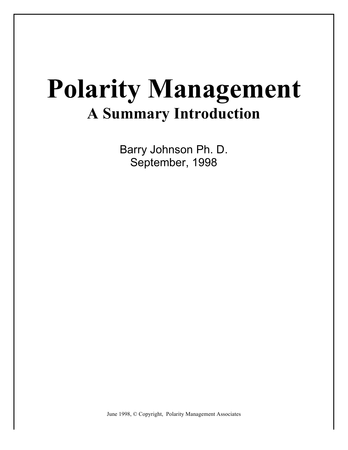Barry Johnson Ph. D. September, 1998

June 1998, © Copyright, Polarity Management Associates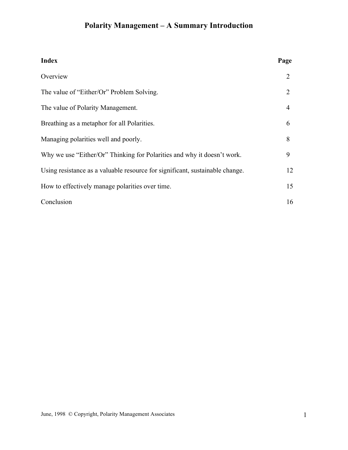| <b>Index</b>                                                                 | Page                        |
|------------------------------------------------------------------------------|-----------------------------|
| Overview                                                                     | 2                           |
| The value of "Either/Or" Problem Solving.                                    | $\mathcal{D}_{\mathcal{L}}$ |
| The value of Polarity Management.                                            | 4                           |
| Breathing as a metaphor for all Polarities.                                  | 6                           |
| Managing polarities well and poorly.                                         | 8                           |
| Why we use "Either/Or" Thinking for Polarities and why it doesn't work.      | 9                           |
| Using resistance as a valuable resource for significant, sustainable change. | 12                          |
| How to effectively manage polarities over time.                              | 15                          |
| Conclusion                                                                   | 16                          |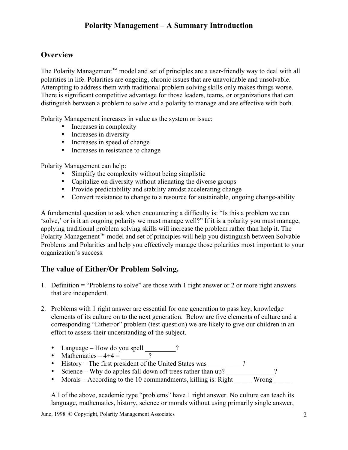#### **Overview**

The Polarity Management™ model and set of principles are a user-friendly way to deal with all polarities in life. Polarities are ongoing, chronic issues that are unavoidable and unsolvable. Attempting to address them with traditional problem solving skills only makes things worse. There is significant competitive advantage for those leaders, teams, or organizations that can distinguish between a problem to solve and a polarity to manage and are effective with both.

Polarity Management increases in value as the system or issue:

- Increases in complexity
- Increases in diversity
- Increases in speed of change
- Increases in resistance to change

Polarity Management can help:

- Simplify the complexity without being simplistic
- Capitalize on diversity without alienating the diverse groups
- Provide predictability and stability amidst accelerating change
- Convert resistance to change to a resource for sustainable, ongoing change-ability

A fundamental question to ask when encountering a difficulty is: "Is this a problem we can 'solve,' or is it an ongoing polarity we must manage well?" If it is a polarity you must manage, applying traditional problem solving skills will increase the problem rather than help it. The Polarity Management™ model and set of principles will help you distinguish between Solvable Problems and Polarities and help you effectively manage those polarities most important to your organization's success.

#### **The value of Either/Or Problem Solving.**

- 1. Definition = "Problems to solve" are those with 1 right answer or 2 or more right answers that are independent.
- 2. Problems with 1 right answer are essential for one generation to pass key, knowledge elements of its culture on to the next generation. Below are five elements of culture and a corresponding "Either/or" problem (test question) we are likely to give our children in an effort to assess their understanding of the subject.
	- Language How do you spell \_\_\_\_\_\_\_?
	- Mathematics  $-4+4 =$  \_\_\_\_\_\_\_?
	- History The first president of the United States was \_\_\_\_\_\_\_\_\_?
	- Science Why do apples fall down off trees rather than up? \_\_\_\_\_\_\_\_\_\_\_\_\_?
	- Morals According to the 10 commandments, killing is: Right

All of the above, academic type "problems" have 1 right answer. No culture can teach its language, mathematics, history, science or morals without using primarily single answer,

June, 1998 © Copyright, Polarity Management Associates 2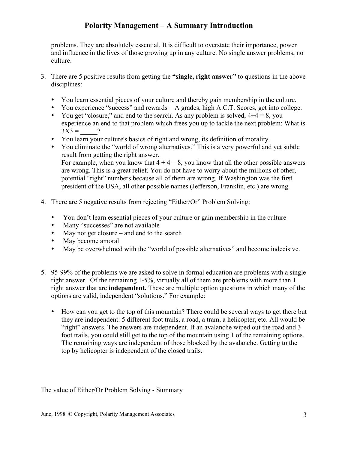problems. They are absolutely essential. It is difficult to overstate their importance, power and influence in the lives of those growing up in any culture. No single answer problems, no culture.

- 3. There are 5 positive results from getting the **"single, right answer"** to questions in the above disciplines:
	- You learn essential pieces of your culture and thereby gain membership in the culture.
	- You experience "success" and rewards = A grades, high A.C.T. Scores, get into college.
	- You get "closure," and end to the search. As any problem is solved,  $4+4 = 8$ , you experience an end to that problem which frees you up to tackle the next problem: What is  $3X3 = ?$
	- You learn your culture's basics of right and wrong, its definition of morality.
	- You eliminate the "world of wrong alternatives." This is a very powerful and yet subtle result from getting the right answer. For example, when you know that  $4 + 4 = 8$ , you know that all the other possible answers are wrong. This is a great relief. You do not have to worry about the millions of other, potential "right" numbers because all of them are wrong. If Washington was the first president of the USA, all other possible names (Jefferson, Franklin, etc.) are wrong.
- 4. There are 5 negative results from rejecting "Either/Or" Problem Solving:
	- You don't learn essential pieces of your culture or gain membership in the culture<br>• Many "successes" are not available
	- Many "successes" are not available
	- May not get closure and end to the search
	- May become amoral
	- May be overwhelmed with the "world of possible alternatives" and become indecisive.
- 5. 95-99% of the problems we are asked to solve in formal education are problems with a single right answer. Of the remaining 1-5%, virtually all of them are problems with more than 1 right answer that are **independent.** These are multiple option questions in which many of the options are valid, independent "solutions." For example:
	- How can you get to the top of this mountain? There could be several ways to get there but they are independent: 5 different foot trails, a road, a tram, a helicopter, etc. All would be "right" answers. The answers are independent. If an avalanche wiped out the road and 3 foot trails, you could still get to the top of the mountain using 1 of the remaining options. The remaining ways are independent of those blocked by the avalanche. Getting to the top by helicopter is independent of the closed trails.

The value of Either/Or Problem Solving - Summary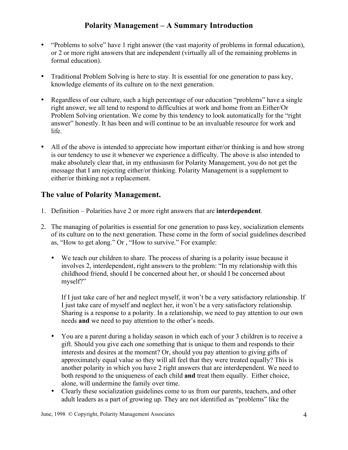- "Problems to solve" have 1 right answer (the vast majority of problems in formal education), or 2 or more right answers that are independent (virtually all of the remaining problems in formal education).
- Traditional Problem Solving is here to stay. It is essential for one generation to pass key, knowledge elements of its culture on to the next generation.
- Regardless of our culture, such a high percentage of our education "problems" have a single right answer, we all tend to respond to difficulties at work and home from an Either/Or Problem Solving orientation. We come by this tendency to look automatically for the "right answer" honestly. It has been and will continue to be an invaluable resource for work and life.
- All of the above is intended to appreciate how important either/or thinking is and how strong is our tendency to use it whenever we experience a difficulty. The above is also intended to make absolutely clear that, in my enthusiasm for Polarity Management, you do not get the message that I am rejecting either/or thinking. Polarity Management is a supplement to either/or thinking not a replacement.

## **The value of Polarity Management.**

- 1. Definition Polarities have 2 or more right answers that are **interdependent**.
- 2. The managing of polarities is essential for one generation to pass key, socialization elements of its culture on to the next generation. These come in the form of social guidelines described as, "How to get along." Or , "How to survive." For example:
	- We teach our children to share. The process of sharing is a polarity issue because it involves 2, interdependent, right answers to the problem: "In my relationship with this childhood friend, should I be concerned about her, or should I be concerned about myself?"

If I just take care of her and neglect myself, it won't be a very satisfactory relationship. If I just take care of myself and neglect her, it won't be a very satisfactory relationship. Sharing is a response to a polarity. In a relationship, we need to pay attention to our own needs **and** we need to pay attention to the other's needs.

- You are a parent during a holiday season in which each of your 3 children is to receive a gift. Should you give each one something that is unique to them and responds to their interests and desires at the moment? Or, should you pay attention to giving gifts of approximately equal value so they will all feel that they were treated equally? This is another polarity in which you have 2 right answers that are interdependent. We need to both respond to the uniqueness of each child **and** treat them equally. Either choice, alone, will undermine the family over time.
- Clearly these socialization guidelines come to us from our parents, teachers, and other adult leaders as a part of growing up. They are not identified as "problems" like the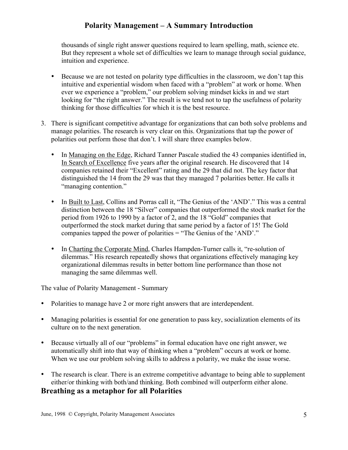thousands of single right answer questions required to learn spelling, math, science etc. But they represent a whole set of difficulties we learn to manage through social guidance, intuition and experience.

- Because we are not tested on polarity type difficulties in the classroom, we don't tap this intuitive and experiential wisdom when faced with a "problem" at work or home. When ever we experience a "problem," our problem solving mindset kicks in and we start looking for "the right answer." The result is we tend not to tap the usefulness of polarity thinking for those difficulties for which it is the best resource.
- 3. There is significant competitive advantage for organizations that can both solve problems and manage polarities. The research is very clear on this. Organizations that tap the power of polarities out perform those that don't. I will share three examples below.
	- In Managing on the Edge, Richard Tanner Pascale studied the 43 companies identified in, In Search of Excellence five years after the original research. He discovered that 14 companies retained their "Excellent" rating and the 29 that did not. The key factor that distinguished the 14 from the 29 was that they managed 7 polarities better. He calls it "managing contention."
	- In Built to Last, Collins and Porras call it, "The Genius of the 'AND'." This was a central distinction between the 18 "Silver" companies that outperformed the stock market for the period from 1926 to 1990 by a factor of 2, and the 18 "Gold" companies that outperformed the stock market during that same period by a factor of 15! The Gold companies tapped the power of polarities = "The Genius of the 'AND'."
	- In Charting the Corporate Mind, Charles Hampden-Turner calls it, "re-solution of dilemmas." His research repeatedly shows that organizations effectively managing key organizational dilemmas results in better bottom line performance than those not managing the same dilemmas well.

The value of Polarity Management - Summary

- Polarities to manage have 2 or more right answers that are interdependent.
- Managing polarities is essential for one generation to pass key, socialization elements of its culture on to the next generation.
- Because virtually all of our "problems" in formal education have one right answer, we automatically shift into that way of thinking when a "problem" occurs at work or home. When we use our problem solving skills to address a polarity, we make the issue worse.
- The research is clear. There is an extreme competitive advantage to being able to supplement either/or thinking with both/and thinking. Both combined will outperform either alone.

#### **Breathing as a metaphor for all Polarities**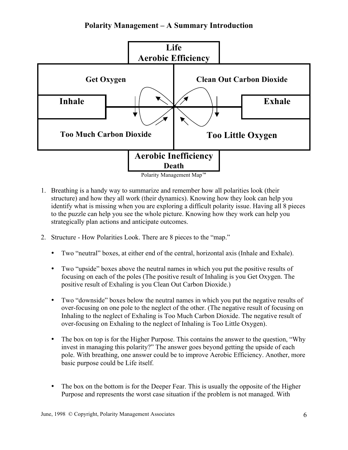

- 1. Breathing is a handy way to summarize and remember how all polarities look (their structure) and how they all work (their dynamics). Knowing how they look can help you identify what is missing when you are exploring a difficult polarity issue. Having all 8 pieces to the puzzle can help you see the whole picture. Knowing how they work can help you strategically plan actions and anticipate outcomes.
- 2. Structure How Polarities Look. There are 8 pieces to the "map."
	- Two "neutral" boxes, at either end of the central, horizontal axis (Inhale and Exhale).
	- Two "upside" boxes above the neutral names in which you put the positive results of focusing on each of the poles (The positive result of Inhaling is you Get Oxygen. The positive result of Exhaling is you Clean Out Carbon Dioxide.)
	- Two "downside" boxes below the neutral names in which you put the negative results of over-focusing on one pole to the neglect of the other. (The negative result of focusing on Inhaling to the neglect of Exhaling is Too Much Carbon Dioxide. The negative result of over-focusing on Exhaling to the neglect of Inhaling is Too Little Oxygen).
	- The box on top is for the Higher Purpose. This contains the answer to the question, "Why invest in managing this polarity?" The answer goes beyond getting the upside of each pole. With breathing, one answer could be to improve Aerobic Efficiency. Another, more basic purpose could be Life itself.
	- The box on the bottom is for the Deeper Fear. This is usually the opposite of the Higher Purpose and represents the worst case situation if the problem is not managed. With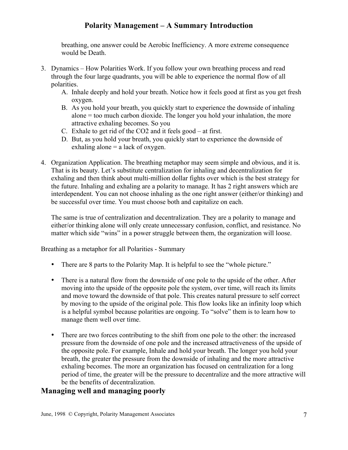breathing, one answer could be Aerobic Inefficiency. A more extreme consequence would be Death.

- 3. Dynamics How Polarities Work. If you follow your own breathing process and read through the four large quadrants, you will be able to experience the normal flow of all polarities.
	- A. Inhale deeply and hold your breath. Notice how it feels good at first as you get fresh oxygen.
	- B. As you hold your breath, you quickly start to experience the downside of inhaling alone = too much carbon dioxide. The longer you hold your inhalation, the more attractive exhaling becomes. So you
	- C. Exhale to get rid of the CO2 and it feels good at first.
	- D. But, as you hold your breath, you quickly start to experience the downside of exhaling alone  $=$  a lack of oxygen.
- 4. Organization Application. The breathing metaphor may seem simple and obvious, and it is. That is its beauty. Let's substitute centralization for inhaling and decentralization for exhaling and then think about multi-million dollar fights over which is the best strategy for the future. Inhaling and exhaling are a polarity to manage. It has 2 right answers which are interdependent. You can not choose inhaling as the one right answer (either/or thinking) and be successful over time. You must choose both and capitalize on each.

The same is true of centralization and decentralization. They are a polarity to manage and either/or thinking alone will only create unnecessary confusion, conflict, and resistance. No matter which side "wins" in a power struggle between them, the organization will loose.

Breathing as a metaphor for all Polarities - Summary

- There are 8 parts to the Polarity Map. It is helpful to see the "whole picture."
- There is a natural flow from the downside of one pole to the upside of the other. After moving into the upside of the opposite pole the system, over time, will reach its limits and move toward the downside of that pole. This creates natural pressure to self correct by moving to the upside of the original pole. This flow looks like an infinity loop which is a helpful symbol because polarities are ongoing. To "solve" them is to learn how to manage them well over time.
- There are two forces contributing to the shift from one pole to the other: the increased pressure from the downside of one pole and the increased attractiveness of the upside of the opposite pole. For example, Inhale and hold your breath. The longer you hold your breath, the greater the pressure from the downside of inhaling and the more attractive exhaling becomes. The more an organization has focused on centralization for a long period of time, the greater will be the pressure to decentralize and the more attractive will be the benefits of decentralization.

#### **Managing well and managing poorly**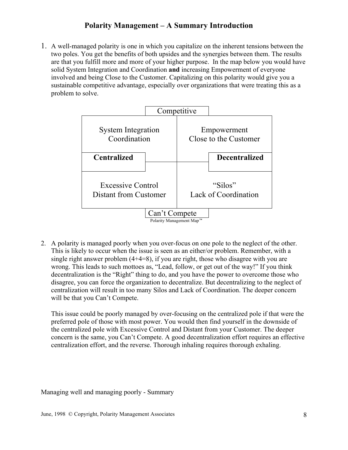1. A well-managed polarity is one in which you capitalize on the inherent tensions between the two poles. You get the benefits of both upsides and the synergies between them. The results are that you fulfill more and more of your higher purpose. In the map below you would have solid System Integration and Coordination **and** increasing Empowerment of everyone involved and being Close to the Customer. Capitalizing on this polarity would give you a sustainable competitive advantage, especially over organizations that were treating this as a problem to solve.



2. A polarity is managed poorly when you over-focus on one pole to the neglect of the other. This is likely to occur when the issue is seen as an either/or problem. Remember, with a single right answer problem (4+4=8), if you are right, those who disagree with you are wrong. This leads to such mottoes as, "Lead, follow, or get out of the way!" If you think decentralization is the "Right" thing to do, and you have the power to overcome those who disagree, you can force the organization to decentralize. But decentralizing to the neglect of centralization will result in too many Silos and Lack of Coordination. The deeper concern will be that you Can't Compete.

This issue could be poorly managed by over-focusing on the centralized pole if that were the preferred pole of those with most power. You would then find yourself in the downside of the centralized pole with Excessive Control and Distant from your Customer. The deeper concern is the same, you Can't Compete. A good decentralization effort requires an effective centralization effort, and the reverse. Thorough inhaling requires thorough exhaling.

Managing well and managing poorly - Summary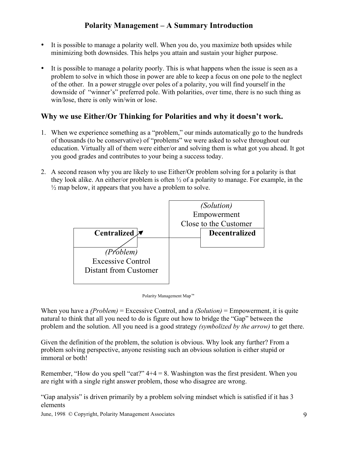- It is possible to manage a polarity well. When you do, you maximize both upsides while minimizing both downsides. This helps you attain and sustain your higher purpose.
- It is possible to manage a polarity poorly. This is what happens when the issue is seen as a problem to solve in which those in power are able to keep a focus on one pole to the neglect of the other. In a power struggle over poles of a polarity, you will find yourself in the downside of "winner's" preferred pole. With polarities, over time, there is no such thing as win/lose, there is only win/win or lose.

#### **Why we use Either/Or Thinking for Polarities and why it doesn't work.**

- 1. When we experience something as a "problem," our minds automatically go to the hundreds of thousands (to be conservative) of "problems" we were asked to solve throughout our education. Virtually all of them were either/or and solving them is what got you ahead. It got you good grades and contributes to your being a success today.
- 2. A second reason why you are likely to use Either/Or problem solving for a polarity is that they look alike. An either/or problem is often ½ of a polarity to manage. For example, in the  $\frac{1}{2}$  map below, it appears that you have a problem to solve.



Polarity Management Map™

When you have a *(Problem)* = Excessive Control, and a *(Solution)* = Empowerment, it is quite natural to think that all you need to do is figure out how to bridge the "Gap" between the problem and the solution. All you need is a good strategy *(symbolized by the arrow)* to get there.

Given the definition of the problem, the solution is obvious. Why look any further? From a problem solving perspective, anyone resisting such an obvious solution is either stupid or immoral or both!

Remember, "How do you spell "cat?"  $4+4 = 8$ . Washington was the first president. When you are right with a single right answer problem, those who disagree are wrong.

"Gap analysis" is driven primarily by a problem solving mindset which is satisfied if it has 3 elements

June, 1998 © Copyright, Polarity Management Associates 9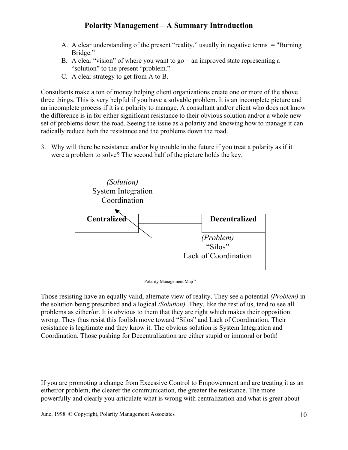- A. A clear understanding of the present "reality," usually in negative terms = "Burning Bridge."
- B. A clear "vision" of where you want to go  $=$  an improved state representing a "solution" to the present "problem."
- C. A clear strategy to get from A to B.

Consultants make a ton of money helping client organizations create one or more of the above three things. This is very helpful if you have a solvable problem. It is an incomplete picture and an incomplete process if it is a polarity to manage. A consultant and/or client who does not know the difference is in for either significant resistance to their obvious solution and/or a whole new set of problems down the road. Seeing the issue as a polarity and knowing how to manage it can radically reduce both the resistance and the problems down the road.

3. Why will there be resistance and/or big trouble in the future if you treat a polarity as if it were a problem to solve? The second half of the picture holds the key.



Polarity Management Map™

Those resisting have an equally valid, alternate view of reality. They see a potential *(Problem)* in the solution being prescribed and a logical *(Solution)*. They, like the rest of us, tend to see all problems as either/or. It is obvious to them that they are right which makes their opposition wrong. They thus resist this foolish move toward "Silos" and Lack of Coordination. Their resistance is legitimate and they know it. The obvious solution is System Integration and Coordination. Those pushing for Decentralization are either stupid or immoral or both!

If you are promoting a change from Excessive Control to Empowerment and are treating it as an either/or problem, the clearer the communication, the greater the resistance. The more powerfully and clearly you articulate what is wrong with centralization and what is great about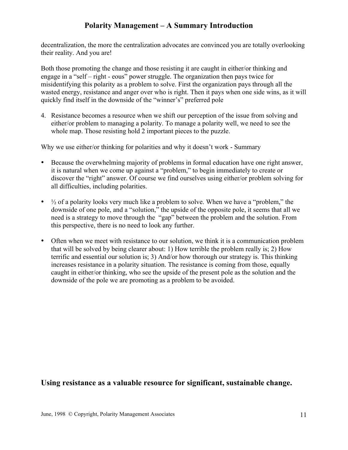decentralization, the more the centralization advocates are convinced you are totally overlooking their reality. And you are!

Both those promoting the change and those resisting it are caught in either/or thinking and engage in a "self – right - eous" power struggle. The organization then pays twice for misidentifying this polarity as a problem to solve. First the organization pays through all the wasted energy, resistance and anger over who is right. Then it pays when one side wins, as it will quickly find itself in the downside of the "winner's" preferred pole

4. Resistance becomes a resource when we shift our perception of the issue from solving and either/or problem to managing a polarity. To manage a polarity well, we need to see the whole map. Those resisting hold 2 important pieces to the puzzle.

Why we use either/or thinking for polarities and why it doesn't work - Summary

- Because the overwhelming majority of problems in formal education have one right answer, it is natural when we come up against a "problem," to begin immediately to create or discover the "right" answer. Of course we find ourselves using either/or problem solving for all difficulties, including polarities.
- $\frac{1}{2}$  of a polarity looks very much like a problem to solve. When we have a "problem," the downside of one pole, and a "solution," the upside of the opposite pole, it seems that all we need is a strategy to move through the "gap" between the problem and the solution. From this perspective, there is no need to look any further.
- Often when we meet with resistance to our solution, we think it is a communication problem that will be solved by being clearer about: 1) How terrible the problem really is; 2) How terrific and essential our solution is; 3) And/or how thorough our strategy is. This thinking increases resistance in a polarity situation. The resistance is coming from those, equally caught in either/or thinking, who see the upside of the present pole as the solution and the downside of the pole we are promoting as a problem to be avoided.

#### **Using resistance as a valuable resource for significant, sustainable change.**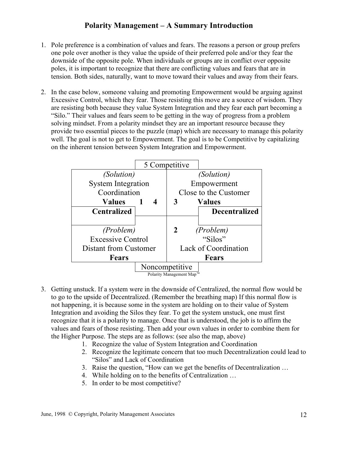- 1. Pole preference is a combination of values and fears. The reasons a person or group prefers one pole over another is they value the upside of their preferred pole and/or they fear the downside of the opposite pole. When individuals or groups are in conflict over opposite poles, it is important to recognize that there are conflicting values and fears that are in tension. Both sides, naturally, want to move toward their values and away from their fears.
- 2. In the case below, someone valuing and promoting Empowerment would be arguing against Excessive Control, which they fear. Those resisting this move are a source of wisdom. They are resisting both because they value System Integration and they fear each part becoming a "Silo." Their values and fears seem to be getting in the way of progress from a problem solving mindset. From a polarity mindset they are an important resource because they provide two essential pieces to the puzzle (map) which are necessary to manage this polarity well. The goal is not to get to Empowerment. The goal is to be Competitive by capitalizing on the inherent tension between System Integration and Empowerment.

|                           |                        | 5 Competitive         |                      |
|---------------------------|------------------------|-----------------------|----------------------|
| <i>(Solution)</i>         |                        |                       | <i>(Solution)</i>    |
| <b>System Integration</b> |                        |                       | Empowerment          |
| Coordination              |                        | Close to the Customer |                      |
| <b>Values</b>             | -1<br>$\boldsymbol{4}$ | 3                     | Values               |
| <b>Centralized</b>        |                        |                       | <b>Decentralized</b> |
|                           |                        |                       |                      |
| (Problem)                 |                        | 2                     | (Problem)            |
| <b>Excessive Control</b>  |                        |                       | "Silos"              |
| Distant from Customer     |                        | Lack of Coordination  |                      |
| <b>Fears</b>              |                        |                       | <b>Fears</b>         |
|                           | Noncompetitive         |                       |                      |
| Polarity Management Map™  |                        |                       |                      |

- 3. Getting unstuck. If a system were in the downside of Centralized, the normal flow would be to go to the upside of Decentralized. (Remember the breathing map) If this normal flow is not happening, it is because some in the system are holding on to their value of System Integration and avoiding the Silos they fear. To get the system unstuck, one must first recognize that it is a polarity to manage. Once that is understood, the job is to affirm the values and fears of those resisting. Then add your own values in order to combine them for the Higher Purpose. The steps are as follows: (see also the map, above)
	- 1. Recognize the value of System Integration and Coordination
	- 2. Recognize the legitimate concern that too much Decentralization could lead to "Silos" and Lack of Coordination
	- 3. Raise the question, "How can we get the benefits of Decentralization …
	- 4. While holding on to the benefits of Centralization …
	- 5. In order to be most competitive?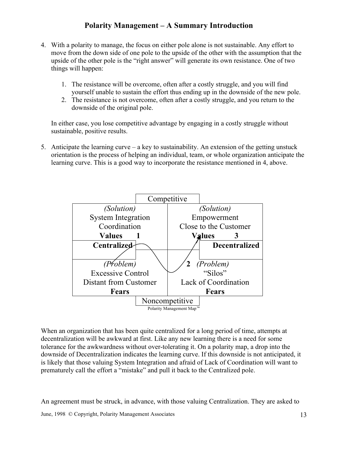- 4. With a polarity to manage, the focus on either pole alone is not sustainable. Any effort to move from the down side of one pole to the upside of the other with the assumption that the upside of the other pole is the "right answer" will generate its own resistance. One of two things will happen:
	- 1. The resistance will be overcome, often after a costly struggle, and you will find yourself unable to sustain the effort thus ending up in the downside of the new pole.
	- 2. The resistance is not overcome, often after a costly struggle, and you return to the downside of the original pole.

In either case, you lose competitive advantage by engaging in a costly struggle without sustainable, positive results.

5. Anticipate the learning curve – a key to sustainability. An extension of the getting unstuck orientation is the process of helping an individual, team, or whole organization anticipate the learning curve. This is a good way to incorporate the resistance mentioned in 4, above.



When an organization that has been quite centralized for a long period of time, attempts at decentralization will be awkward at first. Like any new learning there is a need for some tolerance for the awkwardness without over-tolerating it. On a polarity map, a drop into the downside of Decentralization indicates the learning curve. If this downside is not anticipated, it is likely that those valuing System Integration and afraid of Lack of Coordination will want to prematurely call the effort a "mistake" and pull it back to the Centralized pole.

An agreement must be struck, in advance, with those valuing Centralization. They are asked to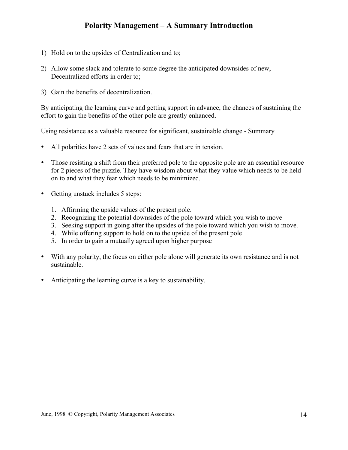- 1) Hold on to the upsides of Centralization and to;
- 2) Allow some slack and tolerate to some degree the anticipated downsides of new, Decentralized efforts in order to;
- 3) Gain the benefits of decentralization.

By anticipating the learning curve and getting support in advance, the chances of sustaining the effort to gain the benefits of the other pole are greatly enhanced.

Using resistance as a valuable resource for significant, sustainable change - Summary

- All polarities have 2 sets of values and fears that are in tension.
- Those resisting a shift from their preferred pole to the opposite pole are an essential resource for 2 pieces of the puzzle. They have wisdom about what they value which needs to be held on to and what they fear which needs to be minimized.
- Getting unstuck includes 5 steps:
	- 1. Affirming the upside values of the present pole.
	- 2. Recognizing the potential downsides of the pole toward which you wish to move
	- 3. Seeking support in going after the upsides of the pole toward which you wish to move.
	- 4. While offering support to hold on to the upside of the present pole
	- 5. In order to gain a mutually agreed upon higher purpose
- With any polarity, the focus on either pole alone will generate its own resistance and is not sustainable.
- Anticipating the learning curve is a key to sustainability.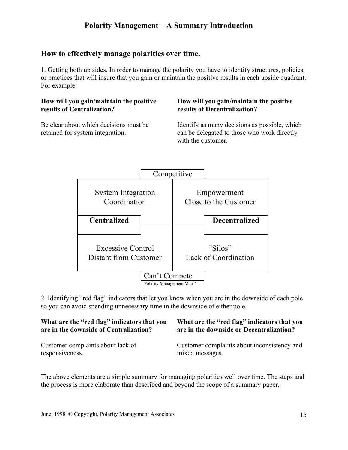#### **How to effectively manage polarities over time.**

1. Getting both up sides. In order to manage the polarity you have to identify structures, policies, or practices that will insure that you gain or maintain the positive results in each upside quadrant. For example:

#### **How will you gain/maintain the positive results of Centralization?**

Be clear about which decisions must be retained for system integration.

#### **How will you gain/maintain the positive results of Decentralization?**

Identify as many decisions as possible, which can be delegated to those who work directly with the customer.



2. Identifying "red flag" indicators that let you know when you are in the downside of each pole so you can avoid spending unnecessary time in the downside of either pole.

| What are the "red flag" indicators that you | What are the "red flag" indicators that you |
|---------------------------------------------|---------------------------------------------|
| are in the downside of Centralization?      | are in the downside or Decentralization?    |
| Customer complaints about lack of           | Customer complaints about inconsistency and |
| responsiveness.                             | mixed messages.                             |

The above elements are a simple summary for managing polarities well over time. The steps and the process is more elaborate than described and beyond the scope of a summary paper.